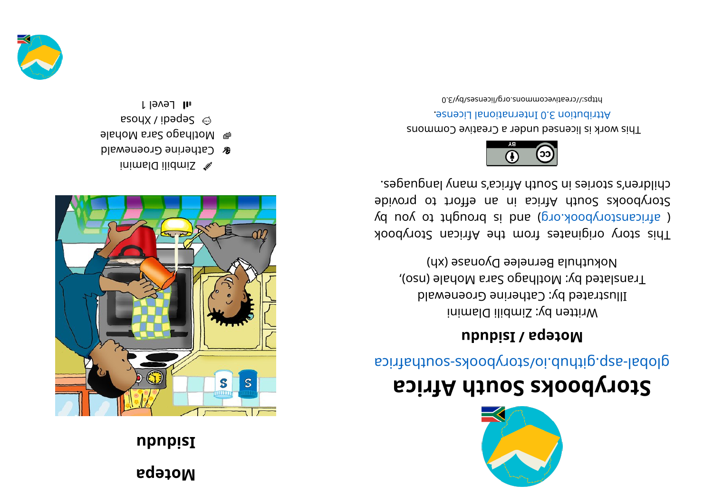## **npnpisI** Motepa



- inimsla ilidmiS <sup>S</sup>
- el Motlhago Sara Mohale **& Catherine Groenewald**
- esoux / ibages  $\odot$
- **II** Level 1





## Storybooks South Africa

global-asp.github.io/storybooks-southafrica

## Motepa / Isidub

Nokuthula Bernelee Dyonase (xh) Translated by: Motlhago Sara Mohale (nso), Illustrated by: Catherine Groenewald Written by: Zimbili Dlamini

children's stories in South Africa's many languages. 9bivong of frica in an effort to provide ( africanstorybook.org) and is brought to you by This story originates from the African Storybook



**Attribution 3.0 International License.** This work is licensed under a Creative Commons

0.8\vd\zeativecommons.org/licenses/by/3.0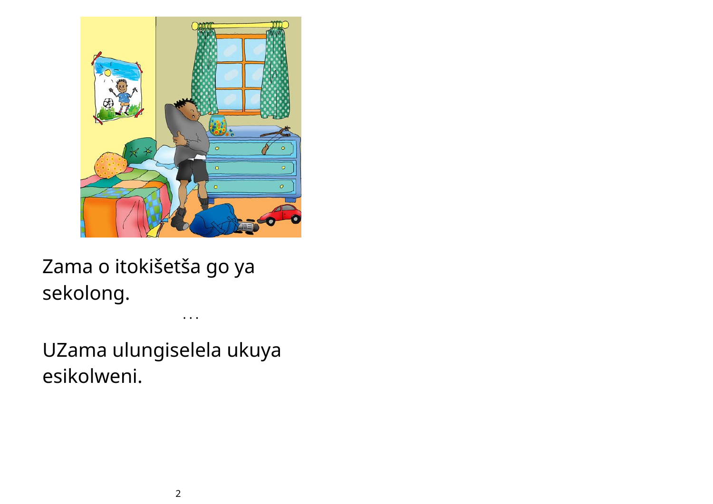

Zama o itokišetša go ya sekolong.

UZama ulungiselela ukuya esikolweni.

• • •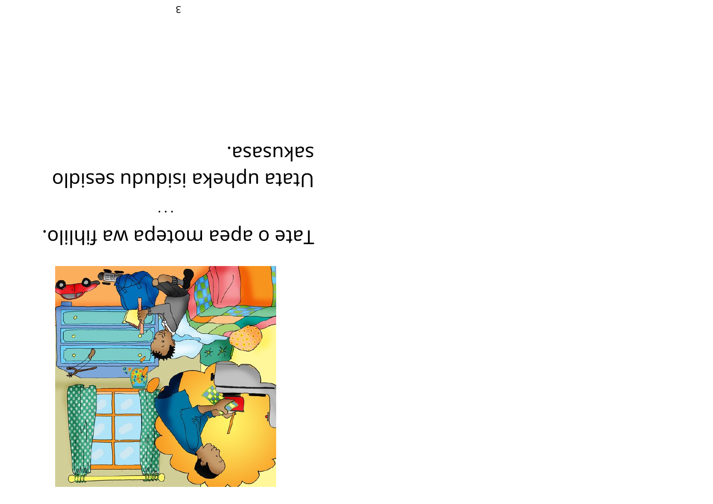

.olilniì sw sqetom seqs o etsT

 $\bullet$   $\bullet$   $\bullet$ 

sakusasa. Utata upheka isiduda sesidlo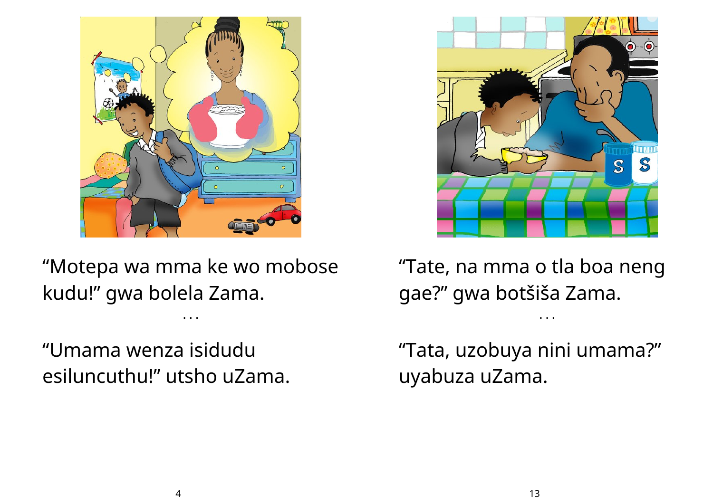

"Motepa wa mma ke wo mobose kudu!" gwa bolela Zama.

• • •

"Umama wenza isidudu esiluncuthu!" utsho uZama.



"Tate, na mma o tla boa neng gae?" gwa botšiša Zama.

• • •

"Tata, uzobuya nini umama?" uyabuza uZama.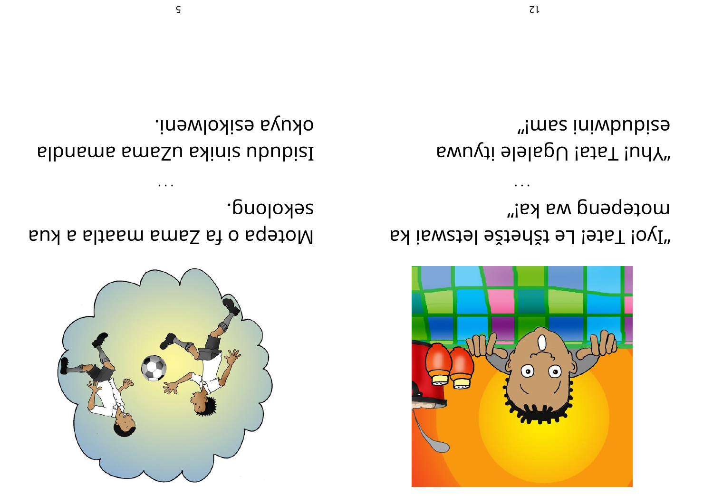

sekolong. Notepa o fa Zama maatla a kua

okuya ezikolweni. sibnems small skinis ububisI



motepeng wa ka!" "Iyo! Tate! Le tšhetše letswai ka

 $\ddot{\phantom{a}}$ 

"!mss iniwbubize uwut Tata! Ugalele ityuwa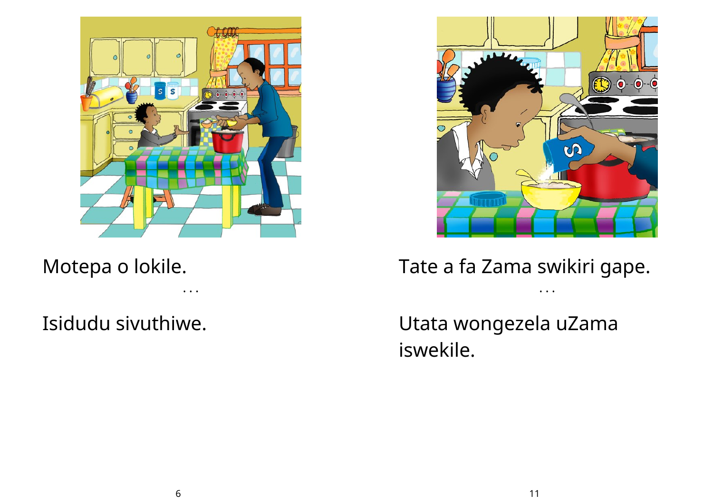

Motepa o lokile.

• • •

Isidudu sivuthiwe.



Tate a fa Zama swikiri gape.

• • •

Utata wongezela uZama iswekile.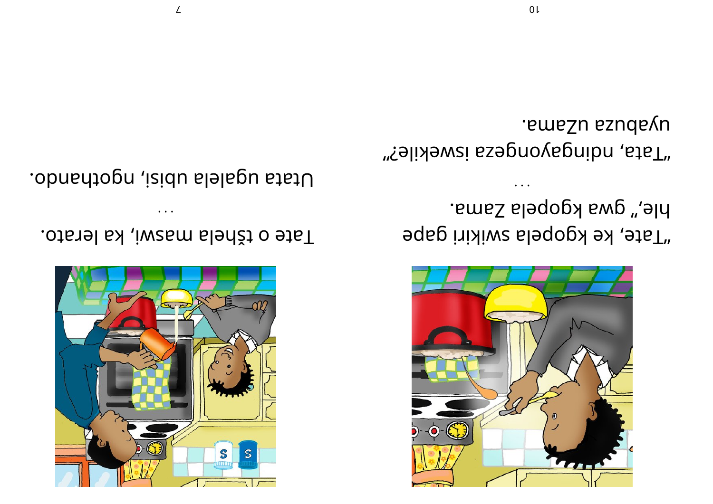

hle," gwa kgopela Zama. "Tate, ke kgopela swikiri gape

emezu ezudevu. "fata, ndingayongeza iswekile?"



Tate o tšhela maswi, ka lerato.

Utata ugalela ubisi, ngothando.